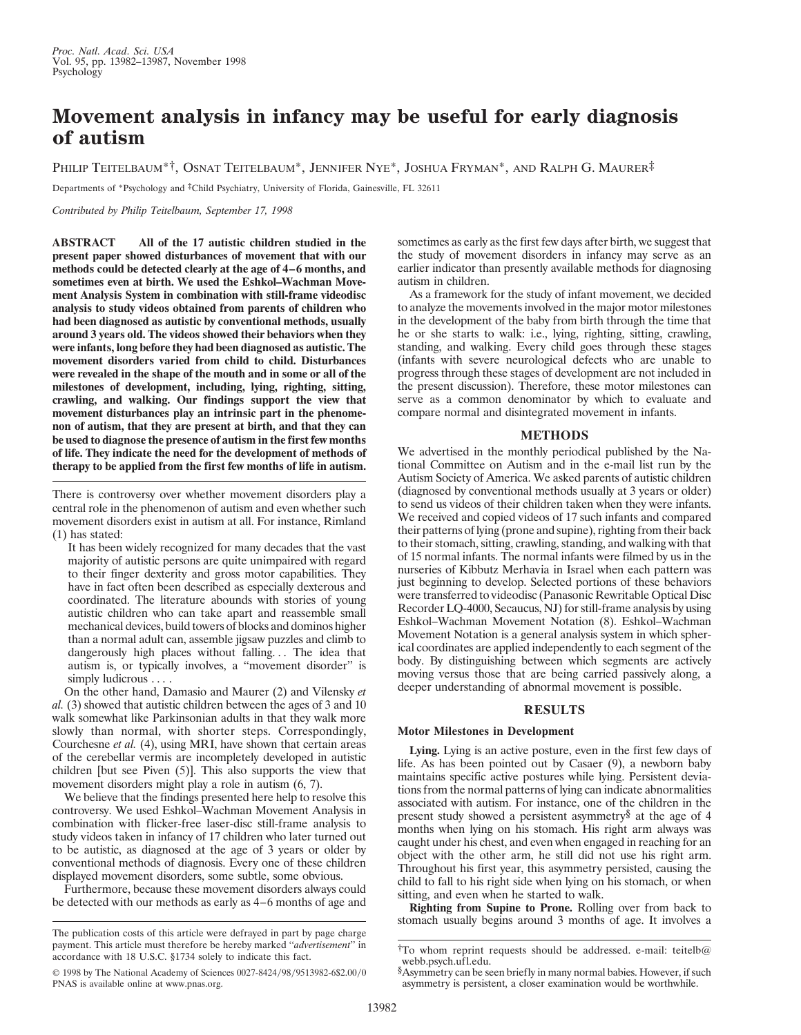# **Movement analysis in infancy may be useful for early diagnosis of autism**

PHILIP TEITELBAUM<sup>\*†</sup>, OSNAT TEITELBAUM<sup>\*</sup>, JENNIFER NYE<sup>\*</sup>, JOSHUA FRYMAN<sup>\*</sup>, AND RALPH G. MAURER<sup>‡</sup>

Departments of \*Psychology and ‡Child Psychiatry, University of Florida, Gainesville, FL 32611

*Contributed by Philip Teitelbaum, September 17, 1998*

**ABSTRACT All of the 17 autistic children studied in the present paper showed disturbances of movement that with our methods could be detected clearly at the age of 4–6 months, and sometimes even at birth. We used the Eshkol–Wachman Movement Analysis System in combination with still-frame videodisc analysis to study videos obtained from parents of children who had been diagnosed as autistic by conventional methods, usually around 3 years old. The videos showed their behaviors when they were infants, long before they had been diagnosed as autistic. The movement disorders varied from child to child. Disturbances were revealed in the shape of the mouth and in some or all of the milestones of development, including, lying, righting, sitting, crawling, and walking. Our findings support the view that movement disturbances play an intrinsic part in the phenomenon of autism, that they are present at birth, and that they can be used to diagnose the presence of autism in the first few months of life. They indicate the need for the development of methods of therapy to be applied from the first few months of life in autism.**

There is controversy over whether movement disorders play a central role in the phenomenon of autism and even whether such movement disorders exist in autism at all. For instance, Rimland (1) has stated:

It has been widely recognized for many decades that the vast majority of autistic persons are quite unimpaired with regard to their finger dexterity and gross motor capabilities. They have in fact often been described as especially dexterous and coordinated. The literature abounds with stories of young autistic children who can take apart and reassemble small mechanical devices, build towers of blocks and dominos higher than a normal adult can, assemble jigsaw puzzles and climb to dangerously high places without falling... The idea that autism is, or typically involves, a ''movement disorder'' is simply ludicrous . . . .

On the other hand, Damasio and Maurer (2) and Vilensky *et al.* (3) showed that autistic children between the ages of 3 and 10 walk somewhat like Parkinsonian adults in that they walk more slowly than normal, with shorter steps. Correspondingly, Courchesne *et al.* (4), using MRI, have shown that certain areas of the cerebellar vermis are incompletely developed in autistic children [but see Piven (5)]. This also supports the view that movement disorders might play a role in autism (6, 7).

We believe that the findings presented here help to resolve this controversy. We used Eshkol–Wachman Movement Analysis in combination with flicker-free laser-disc still-frame analysis to study videos taken in infancy of 17 children who later turned out to be autistic, as diagnosed at the age of 3 years or older by conventional methods of diagnosis. Every one of these children displayed movement disorders, some subtle, some obvious.

Furthermore, because these movement disorders always could be detected with our methods as early as 4–6 months of age and sometimes as early as the first few days after birth, we suggest that the study of movement disorders in infancy may serve as an earlier indicator than presently available methods for diagnosing autism in children.

As a framework for the study of infant movement, we decided to analyze the movements involved in the major motor milestones in the development of the baby from birth through the time that he or she starts to walk: i.e., lying, righting, sitting, crawling, standing, and walking. Every child goes through these stages (infants with severe neurological defects who are unable to progress through these stages of development are not included in the present discussion). Therefore, these motor milestones can serve as a common denominator by which to evaluate and compare normal and disintegrated movement in infants.

### **METHODS**

We advertised in the monthly periodical published by the National Committee on Autism and in the e-mail list run by the Autism Society of America. We asked parents of autistic children (diagnosed by conventional methods usually at 3 years or older) to send us videos of their children taken when they were infants. We received and copied videos of 17 such infants and compared their patterns of lying (prone and supine), righting from their back to their stomach, sitting, crawling, standing, and walking with that of 15 normal infants. The normal infants were filmed by us in the nurseries of Kibbutz Merhavia in Israel when each pattern was just beginning to develop. Selected portions of these behaviors were transferred to videodisc (Panasonic Rewritable Optical Disc Recorder LQ-4000, Secaucus, NJ) for still-frame analysis by using Eshkol–Wachman Movement Notation (8). Eshkol–Wachman Movement Notation is a general analysis system in which spherical coordinates are applied independently to each segment of the body. By distinguishing between which segments are actively moving versus those that are being carried passively along, a deeper understanding of abnormal movement is possible.

## **RESULTS**

### **Motor Milestones in Development**

**Lying.** Lying is an active posture, even in the first few days of life. As has been pointed out by Casaer (9), a newborn baby maintains specific active postures while lying. Persistent deviations from the normal patterns of lying can indicate abnormalities associated with autism. For instance, one of the children in the present study showed a persistent asymmetry§ at the age of 4 months when lying on his stomach. His right arm always was caught under his chest, and even when engaged in reaching for an object with the other arm, he still did not use his right arm. Throughout his first year, this asymmetry persisted, causing the child to fall to his right side when lying on his stomach, or when sitting, and even when he started to walk.

**Righting from Supine to Prone.** Rolling over from back to stomach usually begins around 3 months of age. It involves a

The publication costs of this article were defrayed in part by page charge payment. This article must therefore be hereby marked ''*advertisement*'' in accordance with 18 U.S.C. §1734 solely to indicate this fact.

<sup>© 1998</sup> by The National Academy of Sciences 0027-8424/98/9513982-6\$2.00/0 PNAS is available online at www.pnas.org.

<sup>†</sup>To whom reprint requests should be addressed. e-mail: teitelb@ webb.psych.ufl.edu.

<sup>§</sup>Asymmetry can be seen briefly in many normal babies. However, if such asymmetry is persistent, a closer examination would be worthwhile.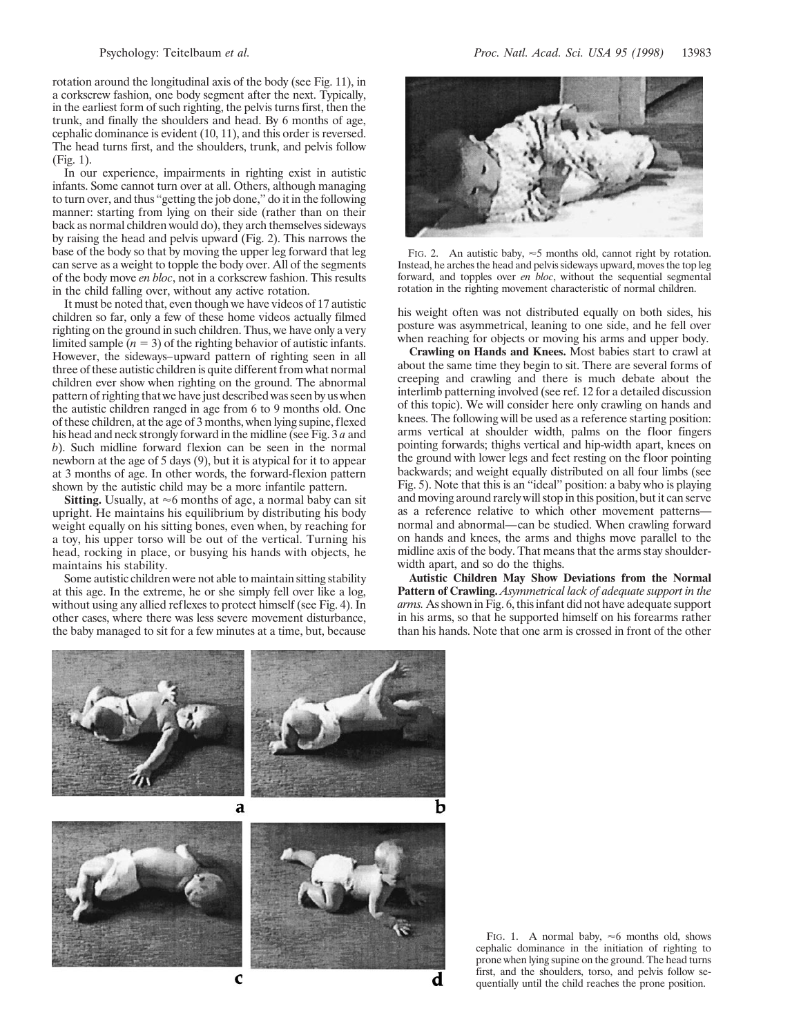rotation around the longitudinal axis of the body (see Fig. 11), in a corkscrew fashion, one body segment after the next. Typically, in the earliest form of such righting, the pelvis turns first, then the trunk, and finally the shoulders and head. By 6 months of age, cephalic dominance is evident (10, 11), and this order is reversed. The head turns first, and the shoulders, trunk, and pelvis follow (Fig. 1).

In our experience, impairments in righting exist in autistic infants. Some cannot turn over at all. Others, although managing to turn over, and thus ''getting the job done,'' do it in the following manner: starting from lying on their side (rather than on their back as normal children would do), they arch themselves sideways by raising the head and pelvis upward (Fig. 2). This narrows the base of the body so that by moving the upper leg forward that leg can serve as a weight to topple the body over. All of the segments of the body move *en bloc*, not in a corkscrew fashion. This results in the child falling over, without any active rotation.

It must be noted that, even though we have videos of 17 autistic children so far, only a few of these home videos actually filmed righting on the ground in such children. Thus, we have only a very limited sample  $(n = 3)$  of the righting behavior of autistic infants. However, the sideways–upward pattern of righting seen in all three of these autistic children is quite different from what normal children ever show when righting on the ground. The abnormal pattern of righting that we have just described was seen by us when the autistic children ranged in age from 6 to 9 months old. One of these children, at the age of 3 months, when lying supine, flexed his head and neck strongly forward in the midline (see Fig. 3 *a* and *b*). Such midline forward flexion can be seen in the normal newborn at the age of 5 days (9), but it is atypical for it to appear at 3 months of age. In other words, the forward-flexion pattern shown by the autistic child may be a more infantile pattern.

**Sitting.** Usually, at  $\approx 6$  months of age, a normal baby can sit upright. He maintains his equilibrium by distributing his body weight equally on his sitting bones, even when, by reaching for a toy, his upper torso will be out of the vertical. Turning his head, rocking in place, or busying his hands with objects, he maintains his stability.

Some autistic children were not able to maintain sitting stability at this age. In the extreme, he or she simply fell over like a log, without using any allied reflexes to protect himself (see Fig. 4). In other cases, where there was less severe movement disturbance, the baby managed to sit for a few minutes at a time, but, because



FIG. 2. An autistic baby,  $\approx$  5 months old, cannot right by rotation. Instead, he arches the head and pelvis sideways upward, moves the top leg forward, and topples over *en bloc*, without the sequential segmental rotation in the righting movement characteristic of normal children.

his weight often was not distributed equally on both sides, his posture was asymmetrical, leaning to one side, and he fell over when reaching for objects or moving his arms and upper body.

**Crawling on Hands and Knees.** Most babies start to crawl at about the same time they begin to sit. There are several forms of creeping and crawling and there is much debate about the interlimb patterning involved (see ref. 12 for a detailed discussion of this topic). We will consider here only crawling on hands and knees. The following will be used as a reference starting position: arms vertical at shoulder width, palms on the floor fingers pointing forwards; thighs vertical and hip-width apart, knees on the ground with lower legs and feet resting on the floor pointing backwards; and weight equally distributed on all four limbs (see Fig. 5). Note that this is an ''ideal'' position: a baby who is playing and moving around rarely will stop in this position, but it can serve as a reference relative to which other movement patterns normal and abnormal—can be studied. When crawling forward on hands and knees, the arms and thighs move parallel to the midline axis of the body. That means that the arms stay shoulderwidth apart, and so do the thighs.

**Autistic Children May Show Deviations from the Normal Pattern of Crawling.** *Asymmetrical lack of adequate support in the arms.* As shown in Fig. 6, this infant did not have adequate support in his arms, so that he supported himself on his forearms rather than his hands. Note that one arm is crossed in front of the other



FIG. 1. A normal baby,  $\approx$  6 months old, shows cephalic dominance in the initiation of righting to prone when lying supine on the ground. The head turns first, and the shoulders, torso, and pelvis follow sequentially until the child reaches the prone position.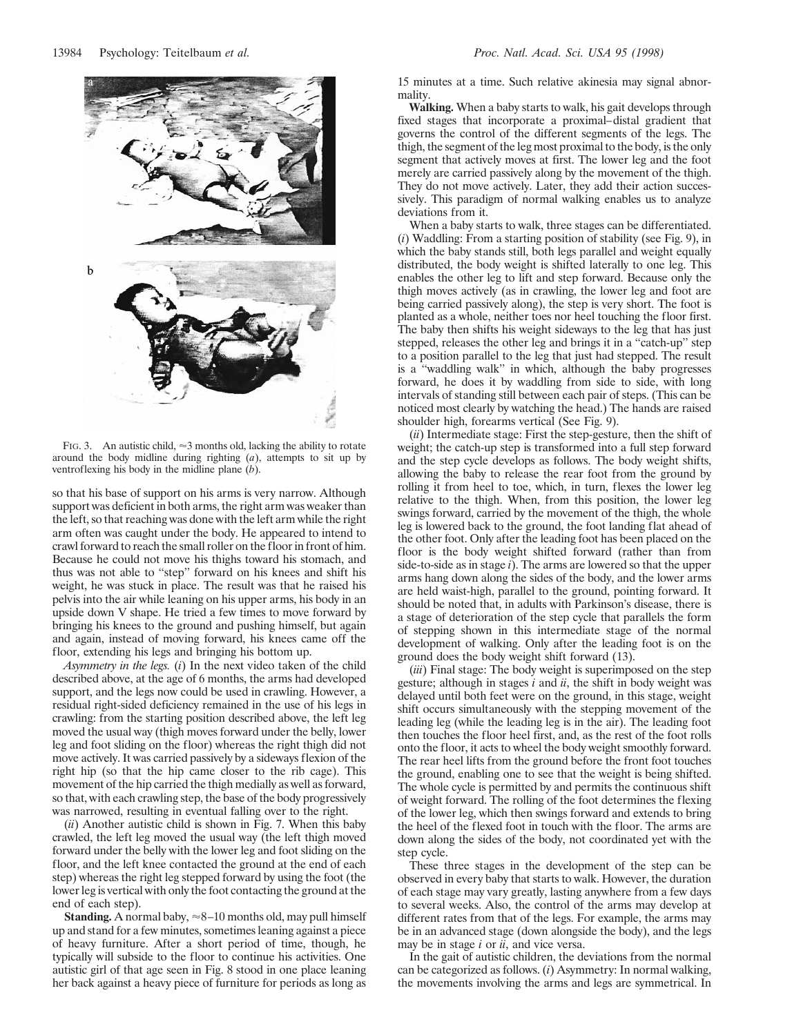

FIG. 3. An autistic child,  $\approx$  3 months old, lacking the ability to rotate around the body midline during righting (*a*), attempts to sit up by ventroflexing his body in the midline plane (*b*).

so that his base of support on his arms is very narrow. Although support was deficient in both arms, the right arm was weaker than the left, so that reaching was done with the left arm while the right arm often was caught under the body. He appeared to intend to crawl forward to reach the small roller on the floor in front of him. Because he could not move his thighs toward his stomach, and thus was not able to ''step'' forward on his knees and shift his weight, he was stuck in place. The result was that he raised his pelvis into the air while leaning on his upper arms, his body in an upside down V shape. He tried a few times to move forward by bringing his knees to the ground and pushing himself, but again and again, instead of moving forward, his knees came off the floor, extending his legs and bringing his bottom up.

*Asymmetry in the legs.* (*i*) In the next video taken of the child described above, at the age of 6 months, the arms had developed support, and the legs now could be used in crawling. However, a residual right-sided deficiency remained in the use of his legs in crawling: from the starting position described above, the left leg moved the usual way (thigh moves forward under the belly, lower leg and foot sliding on the floor) whereas the right thigh did not move actively. It was carried passively by a sideways flexion of the right hip (so that the hip came closer to the rib cage). This movement of the hip carried the thigh medially as well as forward, so that, with each crawling step, the base of the body progressively was narrowed, resulting in eventual falling over to the right.

(*ii*) Another autistic child is shown in Fig. 7. When this baby crawled, the left leg moved the usual way (the left thigh moved forward under the belly with the lower leg and foot sliding on the floor, and the left knee contacted the ground at the end of each step) whereas the right leg stepped forward by using the foot (the lower leg is vertical with only the foot contacting the ground at the end of each step).

**Standing.** A normal baby,  $\approx 8-10$  months old, may pull himself up and stand for a few minutes, sometimes leaning against a piece of heavy furniture. After a short period of time, though, he typically will subside to the floor to continue his activities. One autistic girl of that age seen in Fig. 8 stood in one place leaning her back against a heavy piece of furniture for periods as long as 15 minutes at a time. Such relative akinesia may signal abnormality.

**Walking.** When a baby starts to walk, his gait develops through fixed stages that incorporate a proximal–distal gradient that governs the control of the different segments of the legs. The thigh, the segment of the leg most proximal to the body, is the only segment that actively moves at first. The lower leg and the foot merely are carried passively along by the movement of the thigh. They do not move actively. Later, they add their action successively. This paradigm of normal walking enables us to analyze deviations from it.

When a baby starts to walk, three stages can be differentiated. (*i*) Waddling: From a starting position of stability (see Fig. 9), in which the baby stands still, both legs parallel and weight equally distributed, the body weight is shifted laterally to one leg. This enables the other leg to lift and step forward. Because only the thigh moves actively (as in crawling, the lower leg and foot are being carried passively along), the step is very short. The foot is planted as a whole, neither toes nor heel touching the floor first. The baby then shifts his weight sideways to the leg that has just stepped, releases the other leg and brings it in a ''catch-up'' step to a position parallel to the leg that just had stepped. The result is a ''waddling walk'' in which, although the baby progresses forward, he does it by waddling from side to side, with long intervals of standing still between each pair of steps. (This can be noticed most clearly by watching the head.) The hands are raised shoulder high, forearms vertical (See Fig. 9).

(*ii*) Intermediate stage: First the step-gesture, then the shift of weight; the catch-up step is transformed into a full step forward and the step cycle develops as follows. The body weight shifts, allowing the baby to release the rear foot from the ground by rolling it from heel to toe, which, in turn, flexes the lower leg relative to the thigh. When, from this position, the lower leg swings forward, carried by the movement of the thigh, the whole leg is lowered back to the ground, the foot landing flat ahead of the other foot. Only after the leading foot has been placed on the floor is the body weight shifted forward (rather than from side-to-side as in stage *i*). The arms are lowered so that the upper arms hang down along the sides of the body, and the lower arms are held waist-high, parallel to the ground, pointing forward. It should be noted that, in adults with Parkinson's disease, there is a stage of deterioration of the step cycle that parallels the form of stepping shown in this intermediate stage of the normal development of walking. Only after the leading foot is on the ground does the body weight shift forward (13).

(*iii*) Final stage: The body weight is superimposed on the step gesture; although in stages *i* and *ii*, the shift in body weight was delayed until both feet were on the ground, in this stage, weight shift occurs simultaneously with the stepping movement of the leading leg (while the leading leg is in the air). The leading foot then touches the floor heel first, and, as the rest of the foot rolls onto the floor, it acts to wheel the body weight smoothly forward. The rear heel lifts from the ground before the front foot touches the ground, enabling one to see that the weight is being shifted. The whole cycle is permitted by and permits the continuous shift of weight forward. The rolling of the foot determines the flexing of the lower leg, which then swings forward and extends to bring the heel of the flexed foot in touch with the floor. The arms are down along the sides of the body, not coordinated yet with the step cycle.

These three stages in the development of the step can be observed in every baby that starts to walk. However, the duration of each stage may vary greatly, lasting anywhere from a few days to several weeks. Also, the control of the arms may develop at different rates from that of the legs. For example, the arms may be in an advanced stage (down alongside the body), and the legs may be in stage *i* or *ii*, and vice versa.

In the gait of autistic children, the deviations from the normal can be categorized as follows. (*i*) Asymmetry: In normal walking, the movements involving the arms and legs are symmetrical. In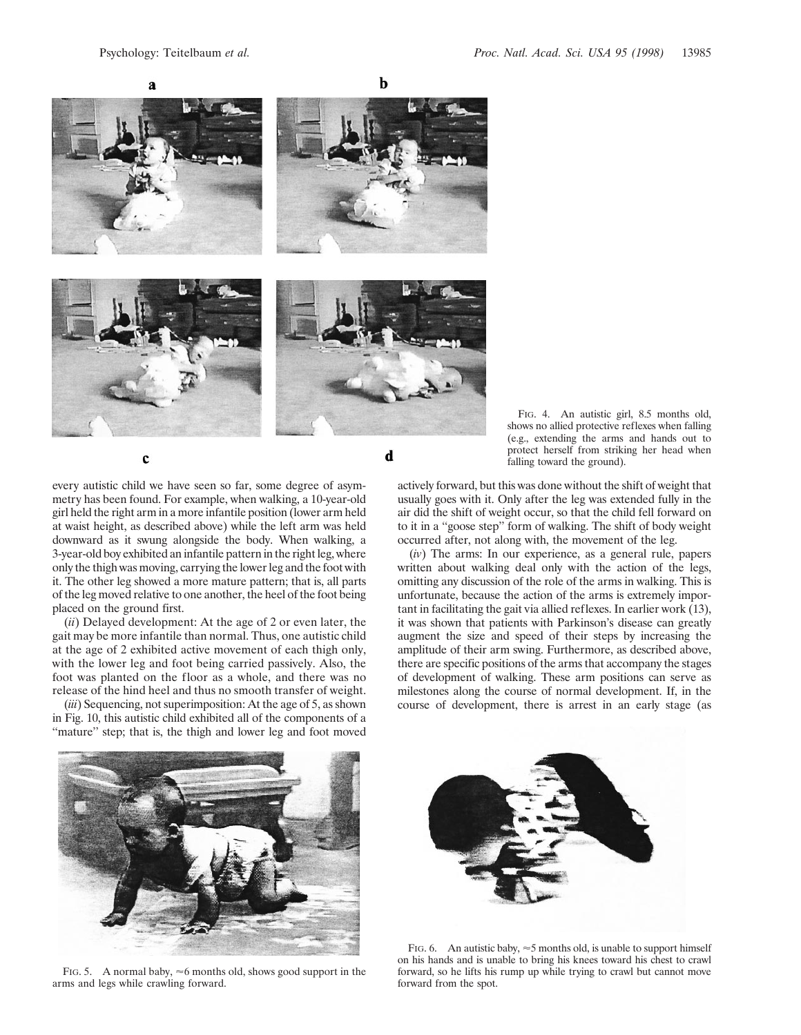

every autistic child we have seen so far, some degree of asymmetry has been found. For example, when walking, a 10-year-old girl held the right arm in a more infantile position (lower arm held at waist height, as described above) while the left arm was held downward as it swung alongside the body. When walking, a 3-year-old boy exhibited an infantile pattern in the right leg, where only the thigh was moving, carrying the lower leg and the foot with it. The other leg showed a more mature pattern; that is, all parts of the leg moved relative to one another, the heel of the foot being placed on the ground first.

c

(*ii*) Delayed development: At the age of 2 or even later, the gait may be more infantile than normal. Thus, one autistic child at the age of 2 exhibited active movement of each thigh only, with the lower leg and foot being carried passively. Also, the foot was planted on the floor as a whole, and there was no release of the hind heel and thus no smooth transfer of weight.

(*iii*) Sequencing, not superimposition: At the age of 5, as shown in Fig. 10, this autistic child exhibited all of the components of a "mature" step; that is, the thigh and lower leg and foot moved

FIG. 4. An autistic girl, 8.5 months old, shows no allied protective reflexes when falling (e.g., extending the arms and hands out to protect herself from striking her head when falling toward the ground).

actively forward, but this was done without the shift of weight that usually goes with it. Only after the leg was extended fully in the air did the shift of weight occur, so that the child fell forward on to it in a ''goose step'' form of walking. The shift of body weight occurred after, not along with, the movement of the leg.

(*iv*) The arms: In our experience, as a general rule, papers written about walking deal only with the action of the legs, omitting any discussion of the role of the arms in walking. This is unfortunate, because the action of the arms is extremely important in facilitating the gait via allied reflexes. In earlier work (13), it was shown that patients with Parkinson's disease can greatly augment the size and speed of their steps by increasing the amplitude of their arm swing. Furthermore, as described above, there are specific positions of the arms that accompany the stages of development of walking. These arm positions can serve as milestones along the course of normal development. If, in the course of development, there is arrest in an early stage (as



FIG. 5. A normal baby,  $\approx$  6 months old, shows good support in the arms and legs while crawling forward.



FIG. 6. An autistic baby,  $\approx$  5 months old, is unable to support himself on his hands and is unable to bring his knees toward his chest to crawl forward, so he lifts his rump up while trying to crawl but cannot move forward from the spot.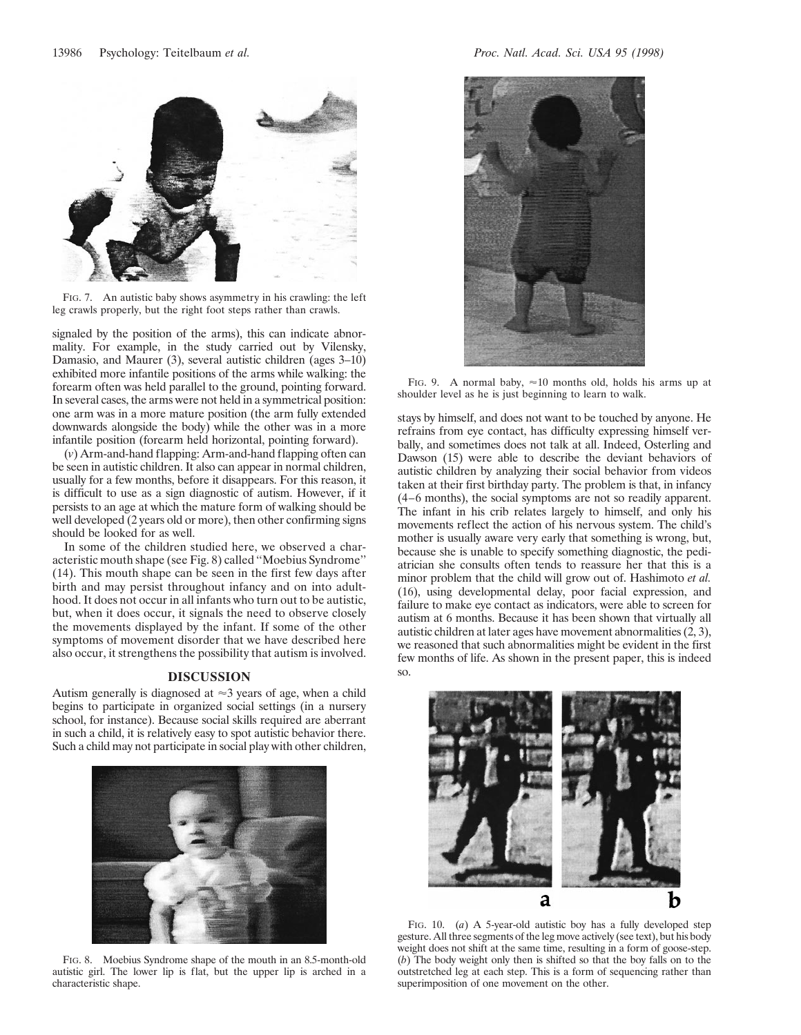

FIG. 7. An autistic baby shows asymmetry in his crawling: the left leg crawls properly, but the right foot steps rather than crawls.

signaled by the position of the arms), this can indicate abnormality. For example, in the study carried out by Vilensky, Damasio, and Maurer (3), several autistic children (ages 3–10) exhibited more infantile positions of the arms while walking: the forearm often was held parallel to the ground, pointing forward. In several cases, the arms were not held in a symmetrical position: one arm was in a more mature position (the arm fully extended downwards alongside the body) while the other was in a more infantile position (forearm held horizontal, pointing forward).

(*v*) Arm-and-hand flapping: Arm-and-hand flapping often can be seen in autistic children. It also can appear in normal children, usually for a few months, before it disappears. For this reason, it is difficult to use as a sign diagnostic of autism. However, if it persists to an age at which the mature form of walking should be well developed (2 years old or more), then other confirming signs should be looked for as well.

In some of the children studied here, we observed a characteristic mouth shape (see Fig. 8) called ''Moebius Syndrome'' (14). This mouth shape can be seen in the first few days after birth and may persist throughout infancy and on into adulthood. It does not occur in all infants who turn out to be autistic, but, when it does occur, it signals the need to observe closely the movements displayed by the infant. If some of the other symptoms of movement disorder that we have described here also occur, it strengthens the possibility that autism is involved.

## **DISCUSSION**

Autism generally is diagnosed at  $\approx$ 3 years of age, when a child begins to participate in organized social settings (in a nursery school, for instance). Because social skills required are aberrant in such a child, it is relatively easy to spot autistic behavior there. Such a child may not participate in social play with other children,



FIG. 8. Moebius Syndrome shape of the mouth in an 8.5-month-old autistic girl. The lower lip is flat, but the upper lip is arched in a characteristic shape.



FIG. 9. A normal baby,  $\approx 10$  months old, holds his arms up at shoulder level as he is just beginning to learn to walk.

stays by himself, and does not want to be touched by anyone. He refrains from eye contact, has difficulty expressing himself verbally, and sometimes does not talk at all. Indeed, Osterling and Dawson (15) were able to describe the deviant behaviors of autistic children by analyzing their social behavior from videos taken at their first birthday party. The problem is that, in infancy (4–6 months), the social symptoms are not so readily apparent. The infant in his crib relates largely to himself, and only his movements reflect the action of his nervous system. The child's mother is usually aware very early that something is wrong, but, because she is unable to specify something diagnostic, the pediatrician she consults often tends to reassure her that this is a minor problem that the child will grow out of. Hashimoto *et al.* (16), using developmental delay, poor facial expression, and failure to make eye contact as indicators, were able to screen for autism at 6 months. Because it has been shown that virtually all autistic children at later ages have movement abnormalities (2, 3), we reasoned that such abnormalities might be evident in the first few months of life. As shown in the present paper, this is indeed so.



FIG. 10. (*a*) A 5-year-old autistic boy has a fully developed step gesture. All three segments of the leg move actively (see text), but his body weight does not shift at the same time, resulting in a form of goose-step. (*b*) The body weight only then is shifted so that the boy falls on to the outstretched leg at each step. This is a form of sequencing rather than superimposition of one movement on the other.